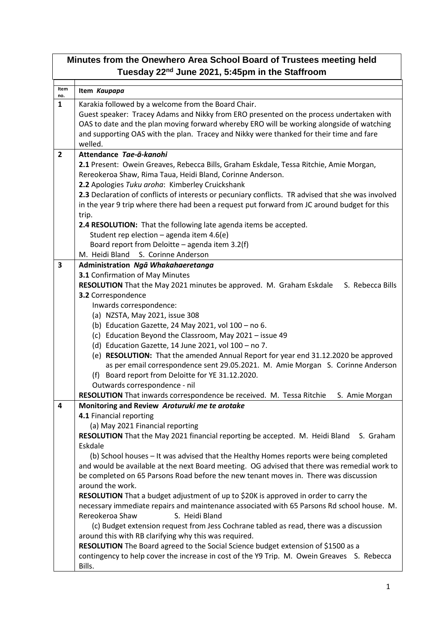## **Minutes from the Onewhero Area School Board of Trustees meeting held Tuesday 22nd June 2021, 5:45pm in the Staffroom**

| Item<br>no.    | Item Kaupapa                                                                                                                                                                         |
|----------------|--------------------------------------------------------------------------------------------------------------------------------------------------------------------------------------|
| 1              | Karakia followed by a welcome from the Board Chair.                                                                                                                                  |
|                | Guest speaker: Tracey Adams and Nikky from ERO presented on the process undertaken with                                                                                              |
|                | OAS to date and the plan moving forward whereby ERO will be working alongside of watching                                                                                            |
|                | and supporting OAS with the plan. Tracey and Nikky were thanked for their time and fare                                                                                              |
|                | welled.                                                                                                                                                                              |
| $\overline{2}$ | Attendance Tae-a-kanohi                                                                                                                                                              |
|                | 2.1 Present: Owein Greaves, Rebecca Bills, Graham Eskdale, Tessa Ritchie, Amie Morgan,                                                                                               |
|                | Rereokeroa Shaw, Rima Taua, Heidi Bland, Corinne Anderson.                                                                                                                           |
|                | 2.2 Apologies Tuku aroha: Kimberley Cruickshank                                                                                                                                      |
|                | 2.3 Declaration of conflicts of interests or pecuniary conflicts. TR advised that she was involved                                                                                   |
|                | in the year 9 trip where there had been a request put forward from JC around budget for this                                                                                         |
|                | trip.                                                                                                                                                                                |
|                | 2.4 RESOLUTION: That the following late agenda items be accepted.                                                                                                                    |
|                | Student rep election - agenda item 4.6(e)                                                                                                                                            |
|                | Board report from Deloitte - agenda item 3.2(f)<br>M. Heidi Bland S. Corinne Anderson                                                                                                |
| 3              |                                                                                                                                                                                      |
|                | Administration Ngā Whakahaeretanga<br>3.1 Confirmation of May Minutes                                                                                                                |
|                | RESOLUTION That the May 2021 minutes be approved. M. Graham Eskdale<br>S. Rebecca Bills                                                                                              |
|                | 3.2 Correspondence                                                                                                                                                                   |
|                | Inwards correspondence:                                                                                                                                                              |
|                | (a) NZSTA, May 2021, issue 308                                                                                                                                                       |
|                | (b) Education Gazette, 24 May 2021, vol 100 - no 6.                                                                                                                                  |
|                | (c) Education Beyond the Classroom, May 2021 - issue 49                                                                                                                              |
|                | (d) Education Gazette, 14 June 2021, vol 100 - no 7.                                                                                                                                 |
|                | (e) RESOLUTION: That the amended Annual Report for year end 31.12.2020 be approved                                                                                                   |
|                | as per email correspondence sent 29.05.2021. M. Amie Morgan S. Corinne Anderson                                                                                                      |
|                | (f) Board report from Deloitte for YE 31.12.2020.                                                                                                                                    |
|                | Outwards correspondence - nil                                                                                                                                                        |
|                | RESOLUTION That inwards correspondence be received. M. Tessa Ritchie<br>S. Amie Morgan                                                                                               |
| 4              | Monitoring and Review Aroturuki me te arotake                                                                                                                                        |
|                | 4.1 Financial reporting                                                                                                                                                              |
|                | (a) May 2021 Financial reporting                                                                                                                                                     |
|                | RESOLUTION That the May 2021 financial reporting be accepted. M. Heidi Bland<br>S. Graham                                                                                            |
|                | Eskdale                                                                                                                                                                              |
|                | (b) School houses - It was advised that the Healthy Homes reports were being completed                                                                                               |
|                | and would be available at the next Board meeting. OG advised that there was remedial work to<br>be completed on 65 Parsons Road before the new tenant moves in. There was discussion |
|                | around the work.                                                                                                                                                                     |
|                | RESOLUTION That a budget adjustment of up to \$20K is approved in order to carry the                                                                                                 |
|                | necessary immediate repairs and maintenance associated with 65 Parsons Rd school house. M.                                                                                           |
|                | Rereokeroa Shaw<br>S. Heidi Bland                                                                                                                                                    |
|                | (c) Budget extension request from Jess Cochrane tabled as read, there was a discussion                                                                                               |
|                | around this with RB clarifying why this was required.                                                                                                                                |
|                | RESOLUTION The Board agreed to the Social Science budget extension of \$1500 as a                                                                                                    |
|                | contingency to help cover the increase in cost of the Y9 Trip. M. Owein Greaves S. Rebecca                                                                                           |
|                | Bills.                                                                                                                                                                               |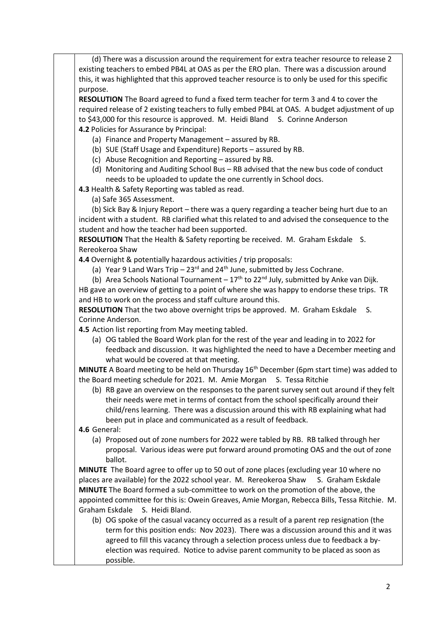(d) There was a discussion around the requirement for extra teacher resource to release 2 existing teachers to embed PB4L at OAS as per the ERO plan. There was a discussion around this, it was highlighted that this approved teacher resource is to only be used for this specific purpose.

**RESOLUTION** The Board agreed to fund a fixed term teacher for term 3 and 4 to cover the required release of 2 existing teachers to fully embed PB4L at OAS. A budget adjustment of up to \$43,000 for this resource is approved. M. Heidi Bland S. Corinne Anderson **4.2** Policies for Assurance by Principal:

- (a) Finance and Property Management assured by RB.
- (b) SUE (Staff Usage and Expenditure) Reports assured by RB.
- (c) Abuse Recognition and Reporting assured by RB.
- (d) Monitoring and Auditing School Bus RB advised that the new bus code of conduct needs to be uploaded to update the one currently in School docs.

**4.3** Health & Safety Reporting was tabled as read.

(a) Safe 365 Assessment.

 (b) Sick Bay & Injury Report – there was a query regarding a teacher being hurt due to an incident with a student. RB clarified what this related to and advised the consequence to the student and how the teacher had been supported.

**RESOLUTION** That the Health & Safety reporting be received. M. Graham Eskdale S. Rereokeroa Shaw

**4.4** Overnight & potentially hazardous activities / trip proposals:

(a) Year 9 Land Wars Trip –  $23<sup>rd</sup>$  and  $24<sup>th</sup>$  June, submitted by Jess Cochrane.

(b) Area Schools National Tournament –  $17<sup>th</sup>$  to 22<sup>nd</sup> July, submitted by Anke van Dijk. HB gave an overview of getting to a point of where she was happy to endorse these trips. TR

and HB to work on the process and staff culture around this. **RESOLUTION** That the two above overnight trips be approved. M. Graham Eskdale S. Corinne Anderson.

**4.5** Action list reporting from May meeting tabled.

(a) OG tabled the Board Work plan for the rest of the year and leading in to 2022 for feedback and discussion. It was highlighted the need to have a December meeting and what would be covered at that meeting.

**MINUTE** A Board meeting to be held on Thursday 16<sup>th</sup> December (6pm start time) was added to the Board meeting schedule for 2021. M. Amie Morgan S. Tessa Ritchie

(b) RB gave an overview on the responses to the parent survey sent out around if they felt their needs were met in terms of contact from the school specifically around their child/rens learning. There was a discussion around this with RB explaining what had been put in place and communicated as a result of feedback.

**4.6** General:

(a) Proposed out of zone numbers for 2022 were tabled by RB. RB talked through her proposal. Various ideas were put forward around promoting OAS and the out of zone ballot.

**MINUTE** The Board agree to offer up to 50 out of zone places (excluding year 10 where no places are available) for the 2022 school year. M. Rereokeroa Shaw S. Graham Eskdale **MINUTE** The Board formed a sub-committee to work on the promotion of the above, the appointed committee for this is: Owein Greaves, Amie Morgan, Rebecca Bills, Tessa Ritchie. M. Graham Eskdale S. Heidi Bland.

(b) OG spoke of the casual vacancy occurred as a result of a parent rep resignation (the term for this position ends: Nov 2023). There was a discussion around this and it was agreed to fill this vacancy through a selection process unless due to feedback a byelection was required. Notice to advise parent community to be placed as soon as possible.